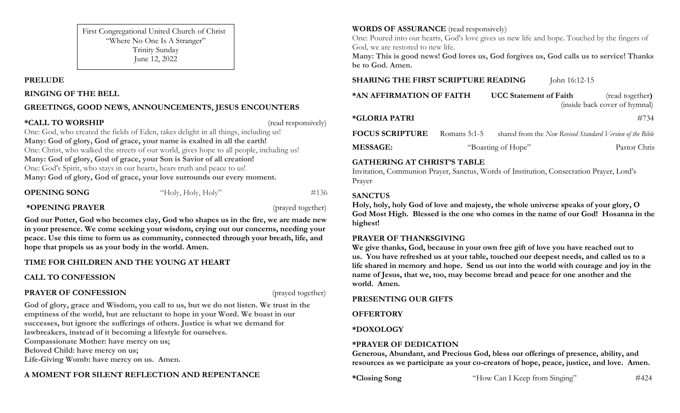First Congregational United Church of Christ "Where No One Is A Stranger" Trinity Sunday June 12, 2022

#### **PRELUDE**

#### **RINGING OF THE BELL**

# **GREETINGS, GOOD NEWS, ANNOUNCEMENTS, JESUS ENCOUNTERS**

#### **\*CALL TO WORSHIP** (read responsively)

One: God, who created the fields of Eden, takes delight in all things, including us! **Many: God of glory, God of grace, your name is exalted in all the earth!** One: Christ, who walked the streets of our world, gives hope to all people, including us! **Many: God of glory, God of grace, your Son is Savior of all creation!** One: God's Spirit, who stays in our hearts, bears truth and peace to us! **Many: God of glory, God of grace, your love surrounds our every moment.**

**OPENING SONG** "Holy, Holy, Holy" #136

## **\*OPENING PRAYER** (prayed together)

**God our Potter, God who becomes clay, God who shapes us in the fire, we are made new in your presence. We come seeking your wisdom, crying out our concerns, needing your peace. Use this time to form us as community, connected through your breath, life, and hope that propels us as your body in the world. Amen.**

# **TIME FOR CHILDREN AND THE YOUNG AT HEART**

# **CALL TO CONFESSION**

## **PRAYER OF CONFESSION** (prayed together)

**God of glory, grace and Wisdom, you call to us, but we do not listen. We trust in the emptiness of the world, but are reluctant to hope in your Word. We boast in our successes, but ignore the sufferings of others. Justice is what we demand for lawbreakers, instead of it becoming a lifestyle for ourselves. Compassionate Mother: have mercy on us; Beloved Child: have mercy on us; Life-Giving Womb: have mercy on us. Amen.**

# **A MOMENT FOR SILENT REFLECTION AND REPENTANCE**

# **WORDS OF ASSURANCE** (read responsively)

One: Poured into our hearts, God's love gives us new life and hope. Touched by the fingers of God, we are restored to new life.

**Many: This is good news! God loves us, God forgives us, God calls us to service! Thanks be to God. Amen.**

## **SHARING THE FIRST SCRIPTURE READING** John 16:12-15

**\*AN AFFIRMATION OF FAITH UCC Statement of Faith** (read together**)**

(inside back cover of hymnal)

#### **\*GLORIA PATRI** #734

**FOCUS SCRIPTURE** Romans 5:1-5 shared from the *New Revised Standard Version of the Bible* **MESSAGE:** "Boasting of Hope" Pastor Chris

#### **GATHERING AT CHRIST'S TABLE**

Invitation, Communion Prayer, Sanctus, Words of Institution, Consecration Prayer, Lord's Prayer

# **SANCTUS**

**Holy, holy, holy God of love and majesty, the whole universe speaks of your glory, O God Most High. Blessed is the one who comes in the name of our God! Hosanna in the highest!** 

## **PRAYER OF THANKSGIVING**

**We give thanks, God, because in your own free gift of love you have reached out to us. You have refreshed us at your table, touched our deepest needs, and called us to a life shared in memory and hope. Send us out into the world with courage and joy in the name of Jesus, that we, too, may become bread and peace for one another and the world. Amen.** 

## **PRESENTING OUR GIFTS**

**OFFERTORY**

## **\*DOXOLOGY**

# **\*PRAYER OF DEDICATION**

**Generous, Abundant, and Precious God, bless our offerings of presence, ability, and resources as we participate as your co-creators of hope, peace, justice, and love. Amen.**